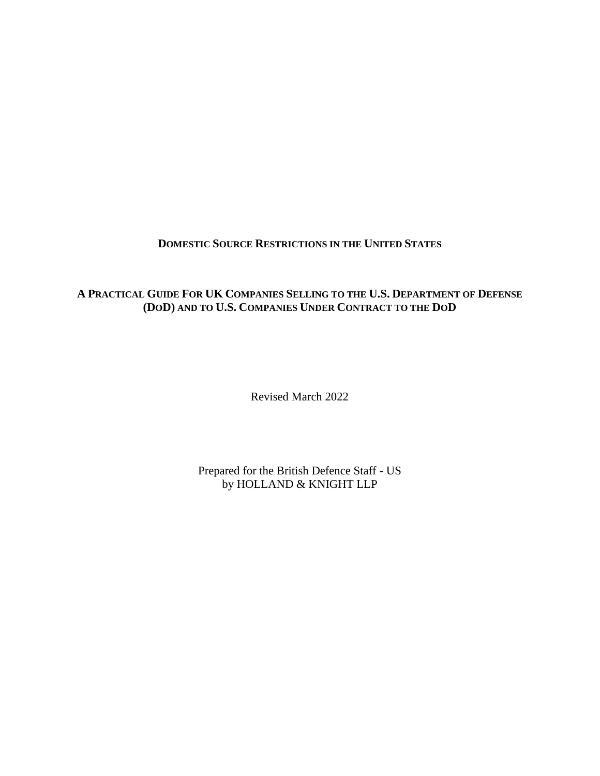#### **DOMESTIC SOURCE RESTRICTIONS IN THE UNITED STATES**

#### **A PRACTICAL GUIDE FOR UK COMPANIES SELLING TO THE U.S. DEPARTMENT OF DEFENSE (DOD) AND TO U.S. COMPANIES UNDER CONTRACT TO THE DOD**

Revised March 2022

Prepared for the British Defence Staff - US by HOLLAND & KNIGHT LLP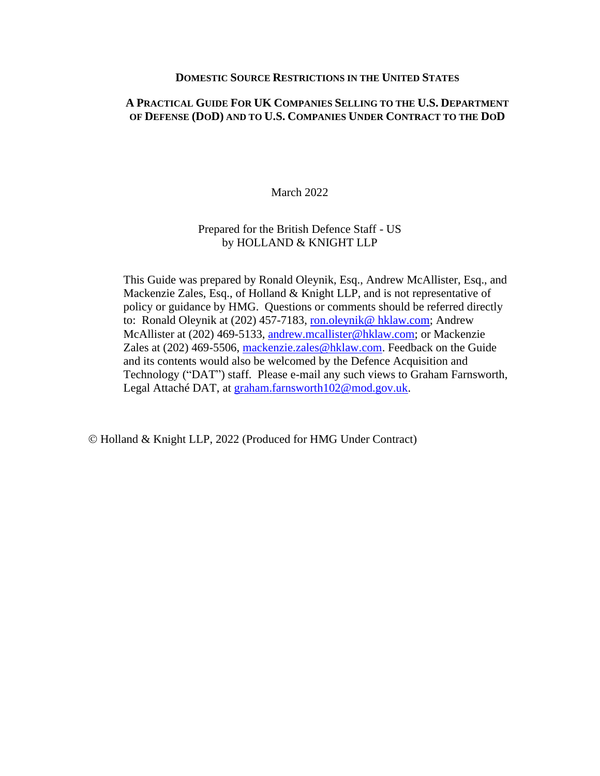#### **DOMESTIC SOURCE RESTRICTIONS IN THE UNITED STATES**

#### **A PRACTICAL GUIDE FOR UK COMPANIES SELLING TO THE U.S. DEPARTMENT OF DEFENSE (DOD) AND TO U.S. COMPANIES UNDER CONTRACT TO THE DOD**

March 2022

#### Prepared for the British Defence Staff - US by HOLLAND & KNIGHT LLP

This Guide was prepared by Ronald Oleynik, Esq., Andrew McAllister, Esq., and Mackenzie Zales, Esq., of Holland & Knight LLP, and is not representative of policy or guidance by HMG. Questions or comments should be referred directly to: Ronald Oleynik at (202) 457-7183, [ron.oleynik@ hklaw.com;](mailto:ron.oleynik@%20hklaw.com) Andrew McAllister at (202) 469-5133, [andrew.mcallister@hklaw.com;](mailto:andrew.mcallister@hklaw.com) or Mackenzie Zales at (202) 469-5506, [mackenzie.zales@hklaw.com.](mailto:mackenzie.zales@hklaw.com) Feedback on the Guide and its contents would also be welcomed by the Defence Acquisition and Technology ("DAT") staff. Please e-mail any such views to Graham Farnsworth, Legal Attaché DAT, at [graham.farnsworth102@mod.gov.uk.](mailto:graham.farnsworth102@mod.gov.uk)

© Holland & Knight LLP, 2022 (Produced for HMG Under Contract)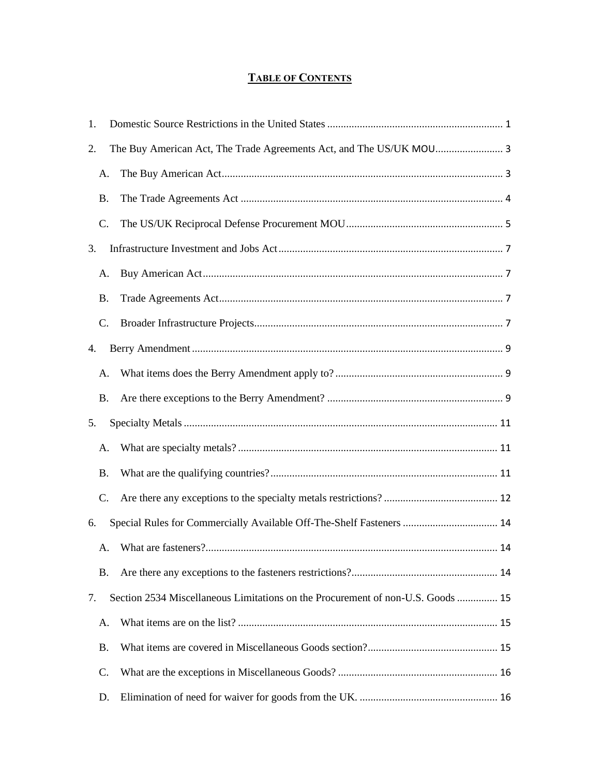### **TABLE OF CONTENTS**

| 1.        |                                                                                 |  |
|-----------|---------------------------------------------------------------------------------|--|
| 2.        | The Buy American Act, The Trade Agreements Act, and The US/UK MOU 3             |  |
|           | A.                                                                              |  |
| <b>B.</b> |                                                                                 |  |
| C.        |                                                                                 |  |
| 3.        |                                                                                 |  |
|           | A.                                                                              |  |
| <b>B.</b> |                                                                                 |  |
| $C$ .     |                                                                                 |  |
| 4.        |                                                                                 |  |
|           | A.                                                                              |  |
| <b>B.</b> |                                                                                 |  |
| 5.        |                                                                                 |  |
| А.        |                                                                                 |  |
| <b>B.</b> |                                                                                 |  |
| C.        |                                                                                 |  |
| 6.        | Special Rules for Commercially Available Off-The-Shelf Fasteners  14            |  |
|           | А.                                                                              |  |
| <b>B.</b> |                                                                                 |  |
| 7.        | Section 2534 Miscellaneous Limitations on the Procurement of non-U.S. Goods  15 |  |
| А.        |                                                                                 |  |
| <b>B.</b> |                                                                                 |  |
| C.        |                                                                                 |  |
| D.        |                                                                                 |  |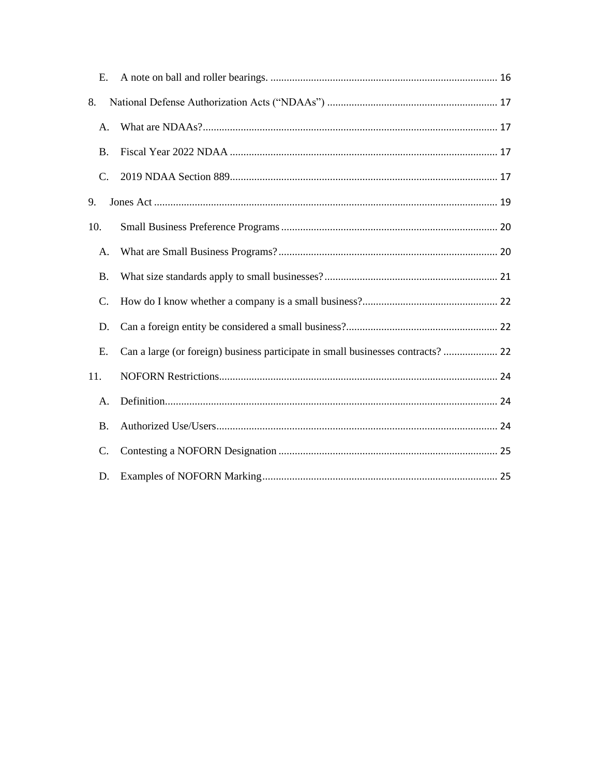| E.              |                                                                                  |
|-----------------|----------------------------------------------------------------------------------|
| 8.              |                                                                                  |
| Α.              |                                                                                  |
| <b>B.</b>       |                                                                                  |
| $C_{\cdot}$     |                                                                                  |
| 9.              |                                                                                  |
| 10.             |                                                                                  |
| А.              |                                                                                  |
| <b>B.</b>       |                                                                                  |
| C.              |                                                                                  |
| D.              |                                                                                  |
| E.              | Can a large (or foreign) business participate in small businesses contracts?  22 |
| 11.             |                                                                                  |
| A.              |                                                                                  |
| <b>B.</b>       |                                                                                  |
| $\mathcal{C}$ . |                                                                                  |
| D.              |                                                                                  |
|                 |                                                                                  |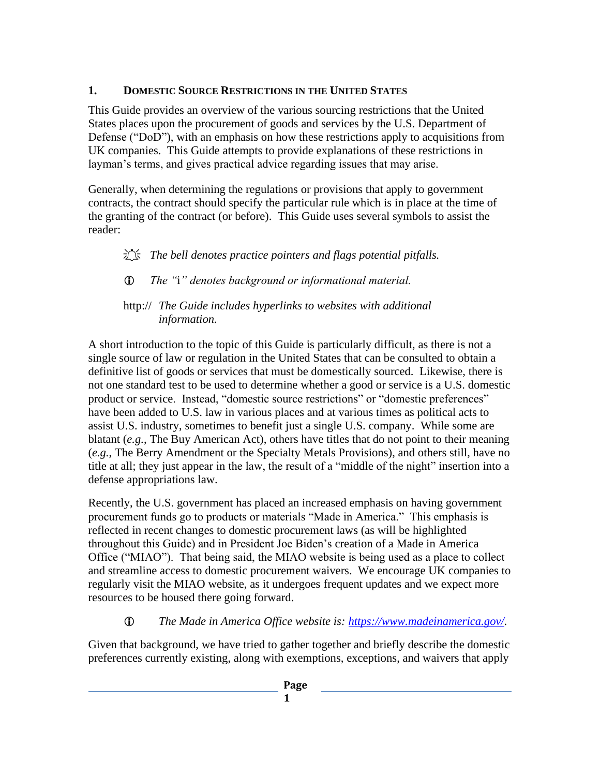## <span id="page-4-0"></span>**1. DOMESTIC SOURCE RESTRICTIONS IN THE UNITED STATES**

This Guide provides an overview of the various sourcing restrictions that the United States places upon the procurement of goods and services by the U.S. Department of Defense ("DoD"), with an emphasis on how these restrictions apply to acquisitions from UK companies. This Guide attempts to provide explanations of these restrictions in layman's terms, and gives practical advice regarding issues that may arise.

Generally, when determining the regulations or provisions that apply to government contracts, the contract should specify the particular rule which is in place at the time of the granting of the contract (or before). This Guide uses several symbols to assist the reader:

# The bell denotes practice pointers and flags potential pitfalls.

*The "*i*" denotes background or informational material.*

### http:// *The Guide includes hyperlinks to websites with additional information.*

A short introduction to the topic of this Guide is particularly difficult, as there is not a single source of law or regulation in the United States that can be consulted to obtain a definitive list of goods or services that must be domestically sourced. Likewise, there is not one standard test to be used to determine whether a good or service is a U.S. domestic product or service. Instead, "domestic source restrictions" or "domestic preferences" have been added to U.S. law in various places and at various times as political acts to assist U.S. industry, sometimes to benefit just a single U.S. company. While some are blatant (*e.g.*, The Buy American Act), others have titles that do not point to their meaning (*e.g.*, The Berry Amendment or the Specialty Metals Provisions), and others still, have no title at all; they just appear in the law, the result of a "middle of the night" insertion into a defense appropriations law.

Recently, the U.S. government has placed an increased emphasis on having government procurement funds go to products or materials "Made in America." This emphasis is reflected in recent changes to domestic procurement laws (as will be highlighted throughout this Guide) and in President Joe Biden's creation of a Made in America Office ("MIAO"). That being said, the MIAO website is being used as a place to collect and streamline access to domestic procurement waivers. We encourage UK companies to regularly visit the MIAO website, as it undergoes frequent updates and we expect more resources to be housed there going forward.

# *The Made in America Office website is: [https://www.madeinamerica.gov/.](https://www.madeinamerica.gov/)*

Given that background, we have tried to gather together and briefly describe the domestic preferences currently existing, along with exemptions, exceptions, and waivers that apply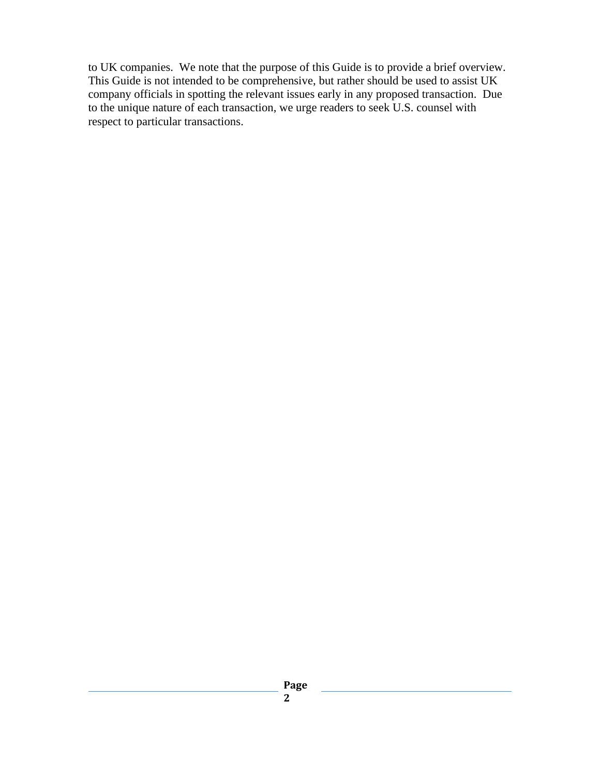to UK companies. We note that the purpose of this Guide is to provide a brief overview. This Guide is not intended to be comprehensive, but rather should be used to assist UK company officials in spotting the relevant issues early in any proposed transaction. Due to the unique nature of each transaction, we urge readers to seek U.S. counsel with respect to particular transactions.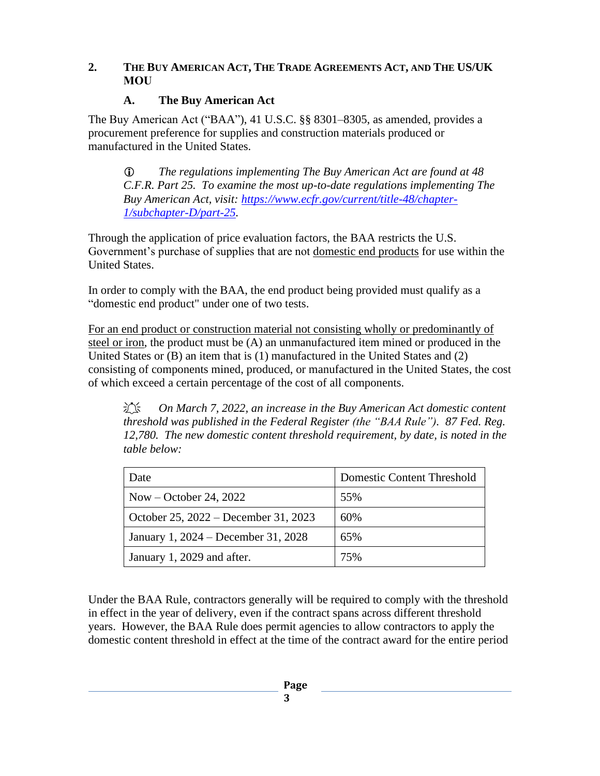#### <span id="page-6-0"></span>2. THE BUY AMERICAN ACT, THE TRADE AGREEMENTS ACT, AND THE US/UK **MOU**

#### **A. The Buy American Act**

<span id="page-6-1"></span>The Buy American Act ("BAA"), 41 U.S.C. §§ 8301–8305, as amended, provides a procurement preference for supplies and construction materials produced or manufactured in the United States.

 *The regulations implementing The Buy American Act are found at 48 C.F.R. Part 25. To examine the most up-to-date regulations implementing The Buy American Act, visit: [https://www.ecfr.gov/current/title-48/chapter-](https://www.ecfr.gov/current/title-48/chapter-1/subchapter-D/part-25)[1/subchapter-D/part-25.](https://www.ecfr.gov/current/title-48/chapter-1/subchapter-D/part-25)*

Through the application of price evaluation factors, the BAA restricts the U.S. Government's purchase of supplies that are not domestic end products for use within the United States.

In order to comply with the BAA, the end product being provided must qualify as a "domestic end product" under one of two tests.

For an end product or construction material not consisting wholly or predominantly of steel or iron, the product must be (A) an unmanufactured item mined or produced in the United States or (B) an item that is (1) manufactured in the United States and (2) consisting of components mined, produced, or manufactured in the United States, the cost of which exceed a certain percentage of the cost of all components.

 *On March 7, 2022, an increase in the Buy American Act domestic content threshold was published in the Federal Register (the "BAA Rule"). 87 Fed. Reg. 12,780. The new domestic content threshold requirement, by date, is noted in the table below:*

| Date                                 | <b>Domestic Content Threshold</b> |
|--------------------------------------|-----------------------------------|
| Now – October 24, 2022               | 55%                               |
| October 25, 2022 – December 31, 2023 | 60%                               |
| January 1, 2024 – December 31, 2028  | 65%                               |
| January 1, 2029 and after.           | 75%                               |

Under the BAA Rule, contractors generally will be required to comply with the threshold in effect in the year of delivery, even if the contract spans across different threshold years. However, the BAA Rule does permit agencies to allow contractors to apply the domestic content threshold in effect at the time of the contract award for the entire period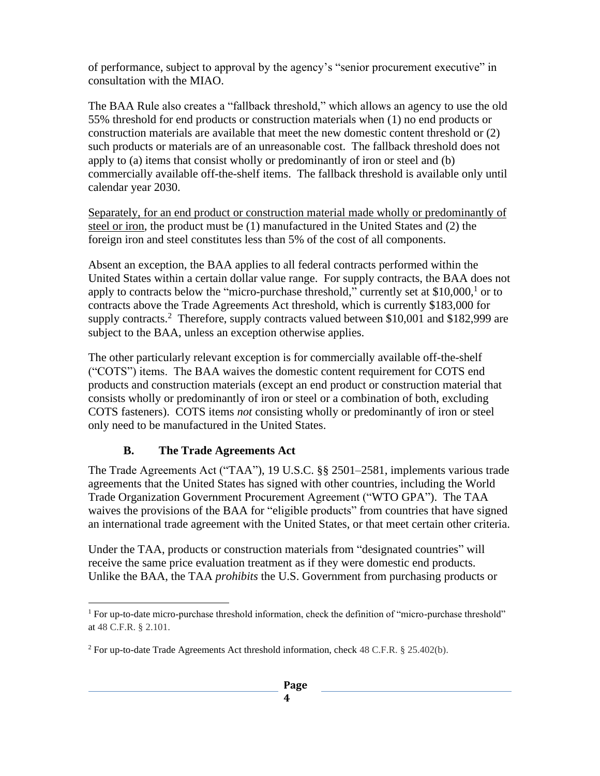of performance, subject to approval by the agency's "senior procurement executive" in consultation with the MIAO.

The BAA Rule also creates a "fallback threshold," which allows an agency to use the old 55% threshold for end products or construction materials when (1) no end products or construction materials are available that meet the new domestic content threshold or (2) such products or materials are of an unreasonable cost. The fallback threshold does not apply to (a) items that consist wholly or predominantly of iron or steel and (b) commercially available off-the-shelf items. The fallback threshold is available only until calendar year 2030.

Separately, for an end product or construction material made wholly or predominantly of steel or iron, the product must be (1) manufactured in the United States and (2) the foreign iron and steel constitutes less than 5% of the cost of all components.

Absent an exception, the BAA applies to all federal contracts performed within the United States within a certain dollar value range. For supply contracts, the BAA does not apply to contracts below the "micro-purchase threshold," currently set at  $$10,000$ ,<sup>1</sup> or to contracts above the Trade Agreements Act threshold, which is currently \$183,000 for supply contracts.<sup>2</sup> Therefore, supply contracts valued between \$10,001 and \$182,999 are subject to the BAA, unless an exception otherwise applies.

The other particularly relevant exception is for commercially available off-the-shelf ("COTS") items. The BAA waives the domestic content requirement for COTS end products and construction materials (except an end product or construction material that consists wholly or predominantly of iron or steel or a combination of both, excluding COTS fasteners). COTS items *not* consisting wholly or predominantly of iron or steel only need to be manufactured in the United States.

#### **B. The Trade Agreements Act**

<span id="page-7-0"></span>The Trade Agreements Act ("TAA"), 19 U.S.C. §§ 2501–2581, implements various trade agreements that the United States has signed with other countries, including the World Trade Organization Government Procurement Agreement ("WTO GPA"). The TAA waives the provisions of the BAA for "eligible products" from countries that have signed an international trade agreement with the United States, or that meet certain other criteria.

Under the TAA, products or construction materials from "designated countries" will receive the same price evaluation treatment as if they were domestic end products. Unlike the BAA, the TAA *prohibits* the U.S. Government from purchasing products or

<sup>&</sup>lt;sup>1</sup> For up-to-date micro-purchase threshold information, check the definition of "micro-purchase threshold" at 48 C.F.R. § 2.101.

 $2$  For up-to-date Trade Agreements Act threshold information, check 48 C.F.R. § 25.402(b).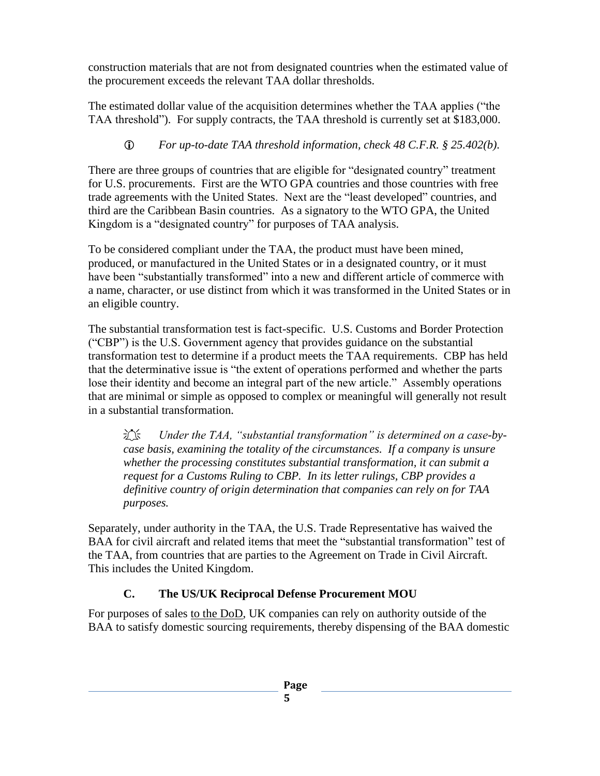construction materials that are not from designated countries when the estimated value of the procurement exceeds the relevant TAA dollar thresholds.

The estimated dollar value of the acquisition determines whether the TAA applies ("the TAA threshold"). For supply contracts, the TAA threshold is currently set at \$183,000.

## *For up-to-date TAA threshold information, check 48 C.F.R. § 25.402(b).*

There are three groups of countries that are eligible for "designated country" treatment for U.S. procurements. First are the WTO GPA countries and those countries with free trade agreements with the United States. Next are the "least developed" countries, and third are the Caribbean Basin countries. As a signatory to the WTO GPA, the United Kingdom is a "designated country" for purposes of TAA analysis.

To be considered compliant under the TAA, the product must have been mined, produced, or manufactured in the United States or in a designated country, or it must have been "substantially transformed" into a new and different article of commerce with a name, character, or use distinct from which it was transformed in the United States or in an eligible country.

The substantial transformation test is fact-specific. U.S. Customs and Border Protection ("CBP") is the U.S. Government agency that provides guidance on the substantial transformation test to determine if a product meets the TAA requirements. CBP has held that the determinative issue is "the extent of operations performed and whether the parts lose their identity and become an integral part of the new article." Assembly operations that are minimal or simple as opposed to complex or meaningful will generally not result in a substantial transformation.

 *Under the TAA, "substantial transformation" is determined on a case-bycase basis, examining the totality of the circumstances. If a company is unsure whether the processing constitutes substantial transformation, it can submit a request for a Customs Ruling to CBP. In its letter rulings, CBP provides a definitive country of origin determination that companies can rely on for TAA purposes.* 

Separately, under authority in the TAA, the U.S. Trade Representative has waived the BAA for civil aircraft and related items that meet the "substantial transformation" test of the TAA, from countries that are parties to the Agreement on Trade in Civil Aircraft. This includes the United Kingdom.

## **C. The US/UK Reciprocal Defense Procurement MOU**

<span id="page-8-0"></span>For purposes of sales to the DoD, UK companies can rely on authority outside of the BAA to satisfy domestic sourcing requirements, thereby dispensing of the BAA domestic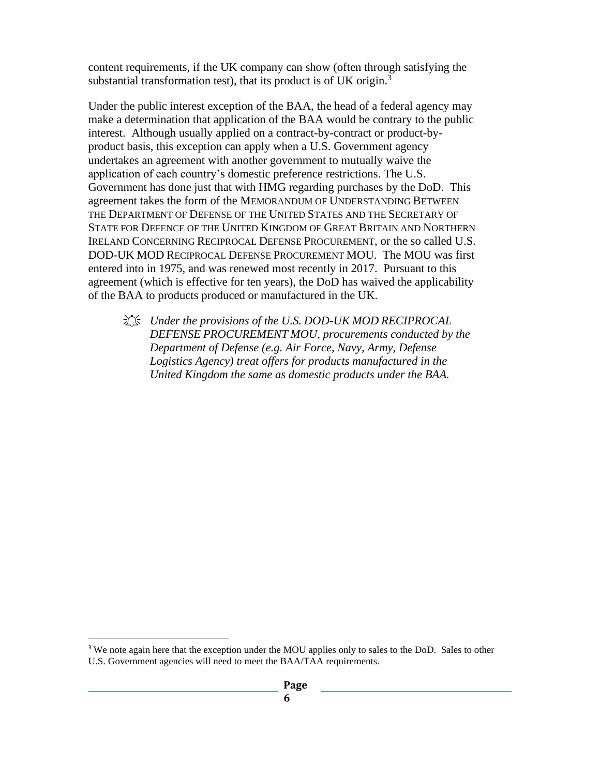content requirements, if the UK company can show (often through satisfying the substantial transformation test), that its product is of UK origin. $3$ 

Under the public interest exception of the BAA, the head of a federal agency may make a determination that application of the BAA would be contrary to the public interest. Although usually applied on a contract-by-contract or product-byproduct basis, this exception can apply when a U.S. Government agency undertakes an agreement with another government to mutually waive the application of each country's domestic preference restrictions. The U.S. Government has done just that with HMG regarding purchases by the DoD. This agreement takes the form of the MEMORANDUM OF UNDERSTANDING BETWEEN THE DEPARTMENT OF DEFENSE OF THE UNITED STATES AND THE SECRETARY OF STATE FOR DEFENCE OF THE UNITED KINGDOM OF GREAT BRITAIN AND NORTHERN IRELAND CONCERNING RECIPROCAL DEFENSE PROCUREMENT, or the so called U.S. DOD-UK MOD RECIPROCAL DEFENSE PROCUREMENT MOU. The MOU was first entered into in 1975, and was renewed most recently in 2017. Pursuant to this agreement (which is effective for ten years), the DoD has waived the applicability of the BAA to products produced or manufactured in the UK.

 *Under the provisions of the U.S. DOD-UK MOD RECIPROCAL DEFENSE PROCUREMENT MOU, procurements conducted by the Department of Defense (e.g. Air Force, Navy, Army, Defense Logistics Agency) treat offers for products manufactured in the United Kingdom the same as domestic products under the BAA.* 

<sup>&</sup>lt;sup>3</sup> We note again here that the exception under the MOU applies only to sales to the DoD. Sales to other U.S. Government agencies will need to meet the BAA/TAA requirements.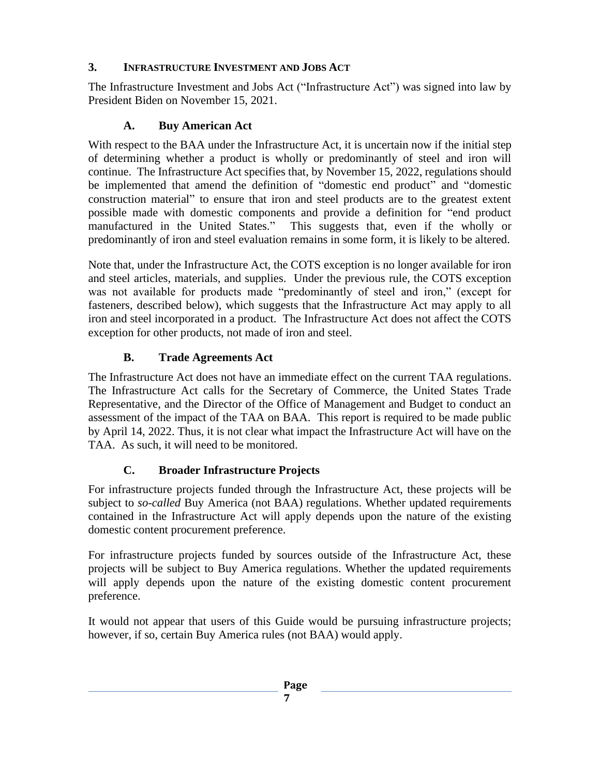### <span id="page-10-0"></span>**3. INFRASTRUCTURE INVESTMENT AND JOBS ACT**

The Infrastructure Investment and Jobs Act ("Infrastructure Act") was signed into law by President Biden on November 15, 2021.

### **A. Buy American Act**

<span id="page-10-1"></span>With respect to the BAA under the Infrastructure Act, it is uncertain now if the initial step of determining whether a product is wholly or predominantly of steel and iron will continue. The Infrastructure Act specifies that, by November 15, 2022, regulations should be implemented that amend the definition of "domestic end product" and "domestic construction material" to ensure that iron and steel products are to the greatest extent possible made with domestic components and provide a definition for "end product manufactured in the United States." This suggests that, even if the wholly or predominantly of iron and steel evaluation remains in some form, it is likely to be altered.

Note that, under the Infrastructure Act, the COTS exception is no longer available for iron and steel articles, materials, and supplies. Under the previous rule, the COTS exception was not available for products made "predominantly of steel and iron," (except for fasteners, described below), which suggests that the Infrastructure Act may apply to all iron and steel incorporated in a product. The Infrastructure Act does not affect the COTS exception for other products, not made of iron and steel.

## **B. Trade Agreements Act**

<span id="page-10-2"></span>The Infrastructure Act does not have an immediate effect on the current TAA regulations. The Infrastructure Act calls for the Secretary of Commerce, the United States Trade Representative, and the Director of the Office of Management and Budget to conduct an assessment of the impact of the TAA on BAA. This report is required to be made public by April 14, 2022. Thus, it is not clear what impact the Infrastructure Act will have on the TAA. As such, it will need to be monitored.

## **C. Broader Infrastructure Projects**

<span id="page-10-3"></span>For infrastructure projects funded through the Infrastructure Act, these projects will be subject to *so-called* Buy America (not BAA) regulations. Whether updated requirements contained in the Infrastructure Act will apply depends upon the nature of the existing domestic content procurement preference.

For infrastructure projects funded by sources outside of the Infrastructure Act, these projects will be subject to Buy America regulations. Whether the updated requirements will apply depends upon the nature of the existing domestic content procurement preference.

It would not appear that users of this Guide would be pursuing infrastructure projects; however, if so, certain Buy America rules (not BAA) would apply.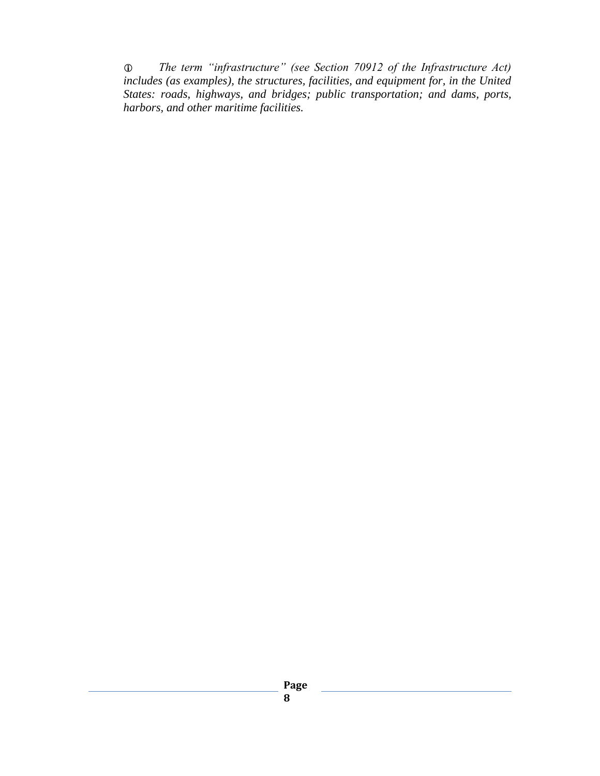*The term "infrastructure" (see Section 70912 of the Infrastructure Act) includes (as examples), the structures, facilities, and equipment for, in the United States: roads, highways, and bridges; public transportation; and dams, ports, harbors, and other maritime facilities.*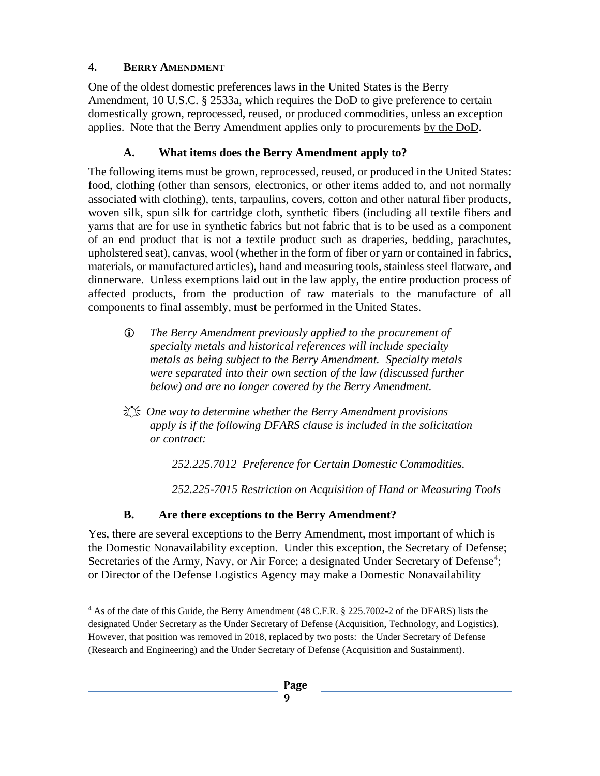## <span id="page-12-0"></span>**4. BERRY AMENDMENT**

One of the oldest domestic preferences laws in the United States is the Berry Amendment, 10 U.S.C. § 2533a, which requires the DoD to give preference to certain domestically grown, reprocessed, reused, or produced commodities, unless an exception applies. Note that the Berry Amendment applies only to procurements by the DoD.

# **A. What items does the Berry Amendment apply to?**

<span id="page-12-1"></span>The following items must be grown, reprocessed, reused, or produced in the United States: food, clothing (other than sensors, electronics, or other items added to, and not normally associated with clothing), tents, tarpaulins, covers, cotton and other natural fiber products, woven silk, spun silk for cartridge cloth, synthetic fibers (including all textile fibers and yarns that are for use in synthetic fabrics but not fabric that is to be used as a component of an end product that is not a textile product such as draperies, bedding, parachutes, upholstered seat), canvas, wool (whether in the form of fiber or yarn or contained in fabrics, materials, or manufactured articles), hand and measuring tools, stainless steel flatware, and dinnerware. Unless exemptions laid out in the law apply, the entire production process of affected products, from the production of raw materials to the manufacture of all components to final assembly, must be performed in the United States.

- *The Berry Amendment previously applied to the procurement of specialty metals and historical references will include specialty metals as being subject to the Berry Amendment. Specialty metals were separated into their own section of the law (discussed further below) and are no longer covered by the Berry Amendment.*
- *One way to determine whether the Berry Amendment provisions apply is if the following DFARS clause is included in the solicitation or contract:*

*252.225.7012 Preference for Certain Domestic Commodities.*

*252.225-7015 Restriction on Acquisition of Hand or Measuring Tools*

# **B. Are there exceptions to the Berry Amendment?**

<span id="page-12-2"></span>Yes, there are several exceptions to the Berry Amendment, most important of which is the Domestic Nonavailability exception. Under this exception, the Secretary of Defense; Secretaries of the Army, Navy, or Air Force; a designated Under Secretary of Defense<sup>4</sup>; or Director of the Defense Logistics Agency may make a Domestic Nonavailability

<sup>&</sup>lt;sup>4</sup> As of the date of this Guide, the Berry Amendment (48 C.F.R. § 225.7002-2 of the DFARS) lists the designated Under Secretary as the Under Secretary of Defense (Acquisition, Technology, and Logistics). However, that position was removed in 2018, replaced by two posts: the Under Secretary of Defense (Research and Engineering) and the Under Secretary of Defense (Acquisition and Sustainment).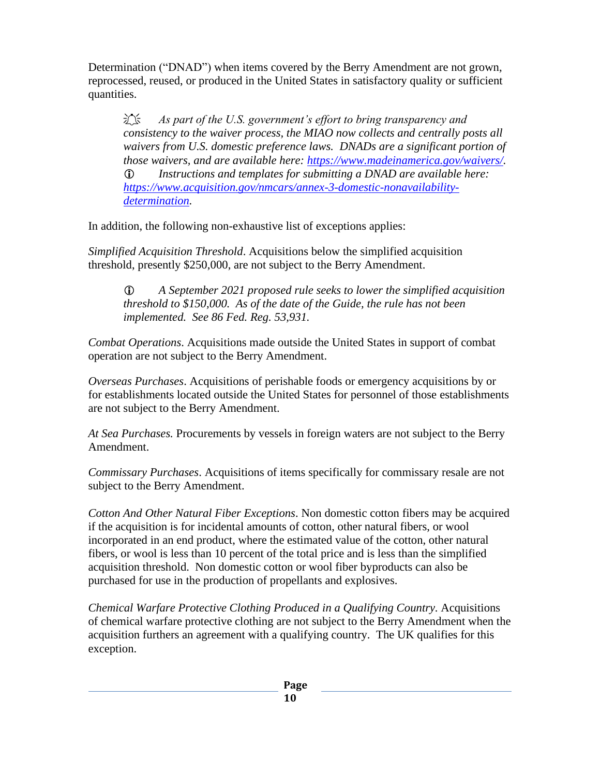Determination ("DNAD") when items covered by the Berry Amendment are not grown, reprocessed, reused, or produced in the United States in satisfactory quality or sufficient quantities.

*As part of the U.S. government's effort to bring transparency and consistency to the waiver process, the MIAO now collects and centrally posts all waivers from U.S. domestic preference laws. DNADs are a significant portion of those waivers, and are available here: [https://www.madeinamerica.gov/waivers/.](https://www.madeinamerica.gov/waivers/) Instructions and templates for submitting a DNAD are available here: [https://www.acquisition.gov/nmcars/annex-3-domestic-nonavailability](https://www.acquisition.gov/nmcars/annex-3-domestic-nonavailability-determination)[determination.](https://www.acquisition.gov/nmcars/annex-3-domestic-nonavailability-determination)* 

In addition, the following non-exhaustive list of exceptions applies:

*Simplified Acquisition Threshold*. Acquisitions below the simplified acquisition threshold, presently \$250,000, are not subject to the Berry Amendment.

 *A September 2021 proposed rule seeks to lower the simplified acquisition threshold to \$150,000. As of the date of the Guide, the rule has not been implemented. See 86 Fed. Reg. 53,931.*

*Combat Operations*. Acquisitions made outside the United States in support of combat operation are not subject to the Berry Amendment.

*Overseas Purchases*. Acquisitions of perishable foods or emergency acquisitions by or for establishments located outside the United States for personnel of those establishments are not subject to the Berry Amendment.

*At Sea Purchases.* Procurements by vessels in foreign waters are not subject to the Berry Amendment.

*Commissary Purchases*. Acquisitions of items specifically for commissary resale are not subject to the Berry Amendment.

*Cotton And Other Natural Fiber Exceptions*. Non domestic cotton fibers may be acquired if the acquisition is for incidental amounts of cotton, other natural fibers, or wool incorporated in an end product, where the estimated value of the cotton, other natural fibers, or wool is less than 10 percent of the total price and is less than the simplified acquisition threshold. Non domestic cotton or wool fiber byproducts can also be purchased for use in the production of propellants and explosives.

*Chemical Warfare Protective Clothing Produced in a Qualifying Country.* Acquisitions of chemical warfare protective clothing are not subject to the Berry Amendment when the acquisition furthers an agreement with a qualifying country. The UK qualifies for this exception.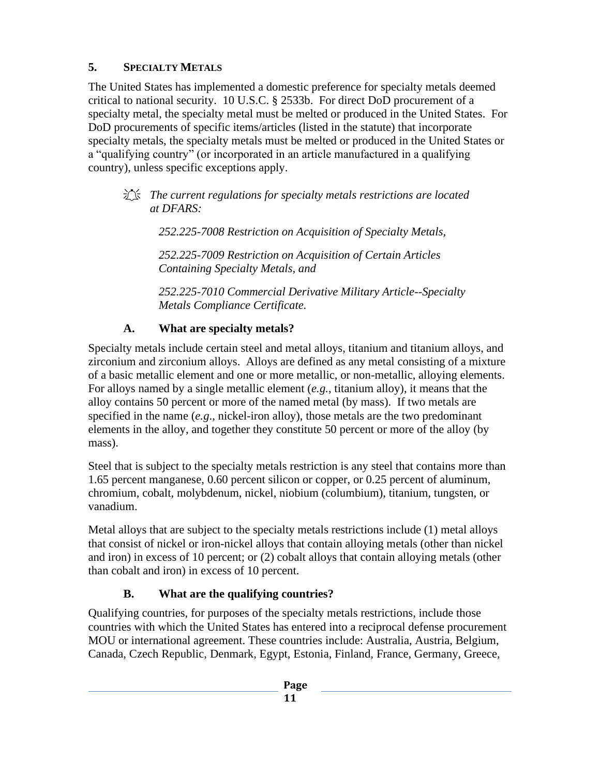# <span id="page-14-0"></span>**5. SPECIALTY METALS**

The United States has implemented a domestic preference for specialty metals deemed critical to national security. 10 U.S.C. § 2533b. For direct DoD procurement of a specialty metal, the specialty metal must be melted or produced in the United States. For DoD procurements of specific items/articles (listed in the statute) that incorporate specialty metals, the specialty metals must be melted or produced in the United States or a "qualifying country" (or incorporated in an article manufactured in a qualifying country), unless specific exceptions apply.

 *The current regulations for specialty metals restrictions are located at DFARS:* 

*252.225-7008 Restriction on Acquisition of Specialty Metals,* 

*252.225-7009 Restriction on Acquisition of Certain Articles Containing Specialty Metals, and* 

*252.225-7010 Commercial Derivative Military Article--Specialty Metals Compliance Certificate.* 

## **A. What are specialty metals?**

<span id="page-14-1"></span>Specialty metals include certain steel and metal alloys, titanium and titanium alloys, and zirconium and zirconium alloys. Alloys are defined as any metal consisting of a mixture of a basic metallic element and one or more metallic, or non-metallic, alloying elements. For alloys named by a single metallic element (*e.g.*, titanium alloy), it means that the alloy contains 50 percent or more of the named metal (by mass). If two metals are specified in the name (*e.g*., nickel-iron alloy), those metals are the two predominant elements in the alloy, and together they constitute 50 percent or more of the alloy (by mass).

Steel that is subject to the specialty metals restriction is any steel that contains more than 1.65 percent manganese, 0.60 percent silicon or copper, or 0.25 percent of aluminum, chromium, cobalt, molybdenum, nickel, niobium (columbium), titanium, tungsten, or vanadium.

Metal alloys that are subject to the specialty metals restrictions include (1) metal alloys that consist of nickel or iron-nickel alloys that contain alloying metals (other than nickel and iron) in excess of 10 percent; or (2) cobalt alloys that contain alloying metals (other than cobalt and iron) in excess of 10 percent.

# **B. What are the qualifying countries?**

<span id="page-14-2"></span>Qualifying countries, for purposes of the specialty metals restrictions, include those countries with which the United States has entered into a reciprocal defense procurement MOU or international agreement. These countries include: Australia, Austria, Belgium, Canada, Czech Republic, Denmark, Egypt, Estonia, Finland, France, Germany, Greece,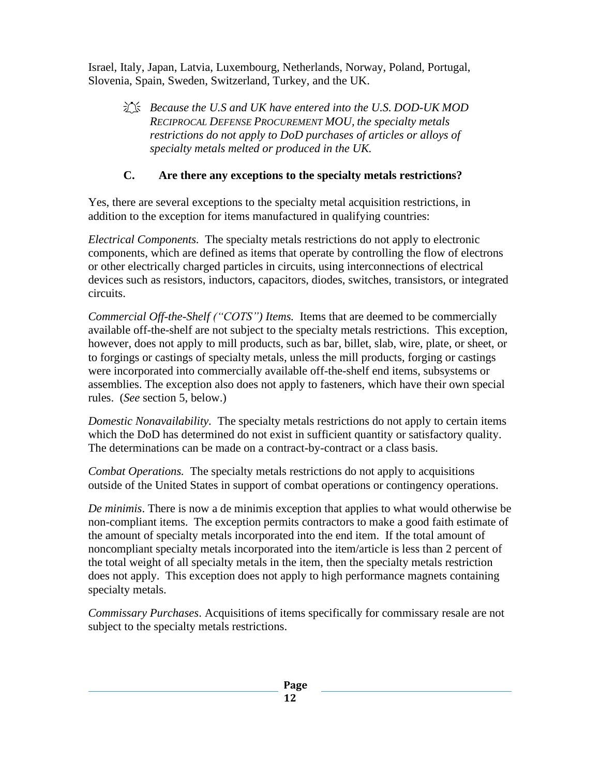Israel, Italy, Japan, Latvia, Luxembourg, Netherlands, Norway, Poland, Portugal, Slovenia, Spain, Sweden, Switzerland, Turkey, and the UK.

 *Because the U.S and UK have entered into the U.S. DOD-UK MOD RECIPROCAL DEFENSE PROCUREMENT MOU, the specialty metals restrictions do not apply to DoD purchases of articles or alloys of specialty metals melted or produced in the UK.*

#### **C. Are there any exceptions to the specialty metals restrictions?**

<span id="page-15-0"></span>Yes, there are several exceptions to the specialty metal acquisition restrictions, in addition to the exception for items manufactured in qualifying countries:

*Electrical Components.* The specialty metals restrictions do not apply to electronic components, which are defined as items that operate by controlling the flow of electrons or other electrically charged particles in circuits, using interconnections of electrical devices such as resistors, inductors, capacitors, diodes, switches, transistors, or integrated circuits.

*Commercial Off-the-Shelf ("COTS") Items.* Items that are deemed to be commercially available off-the-shelf are not subject to the specialty metals restrictions. This exception, however, does not apply to mill products, such as bar, billet, slab, wire, plate, or sheet, or to forgings or castings of specialty metals, unless the mill products, forging or castings were incorporated into commercially available off-the-shelf end items, subsystems or assemblies. The exception also does not apply to fasteners, which have their own special rules. (*See* section 5, below.)

*Domestic Nonavailability.* The specialty metals restrictions do not apply to certain items which the DoD has determined do not exist in sufficient quantity or satisfactory quality. The determinations can be made on a contract-by-contract or a class basis.

*Combat Operations.* The specialty metals restrictions do not apply to acquisitions outside of the United States in support of combat operations or contingency operations.

*De minimis*. There is now a de minimis exception that applies to what would otherwise be non-compliant items. The exception permits contractors to make a good faith estimate of the amount of specialty metals incorporated into the end item. If the total amount of noncompliant specialty metals incorporated into the item/article is less than 2 percent of the total weight of all specialty metals in the item, then the specialty metals restriction does not apply. This exception does not apply to high performance magnets containing specialty metals.

*Commissary Purchases*. Acquisitions of items specifically for commissary resale are not subject to the specialty metals restrictions.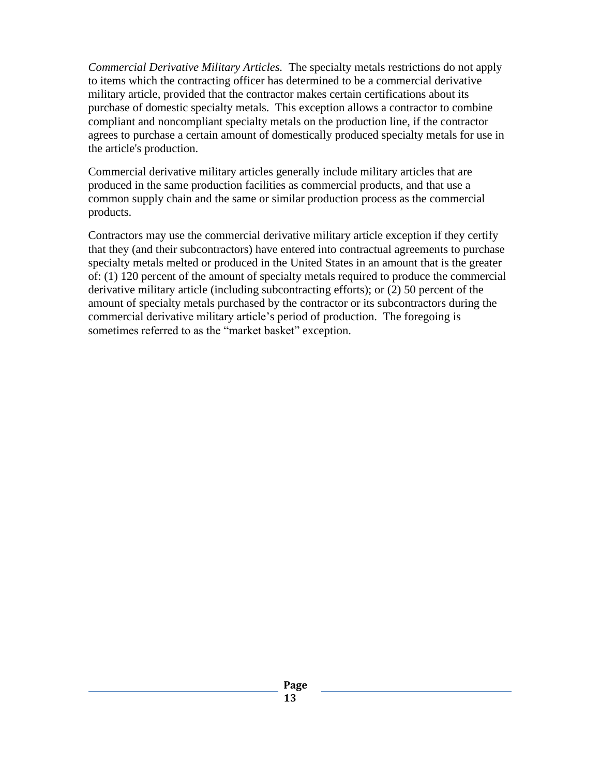*Commercial Derivative Military Articles.* The specialty metals restrictions do not apply to items which the contracting officer has determined to be a commercial derivative military article, provided that the contractor makes certain certifications about its purchase of domestic specialty metals. This exception allows a contractor to combine compliant and noncompliant specialty metals on the production line, if the contractor agrees to purchase a certain amount of domestically produced specialty metals for use in the article's production.

Commercial derivative military articles generally include military articles that are produced in the same production facilities as commercial products, and that use a common supply chain and the same or similar production process as the commercial products.

Contractors may use the commercial derivative military article exception if they certify that they (and their subcontractors) have entered into contractual agreements to purchase specialty metals melted or produced in the United States in an amount that is the greater of: (1) 120 percent of the amount of specialty metals required to produce the commercial derivative military article (including subcontracting efforts); or (2) 50 percent of the amount of specialty metals purchased by the contractor or its subcontractors during the commercial derivative military article's period of production. The foregoing is sometimes referred to as the "market basket" exception.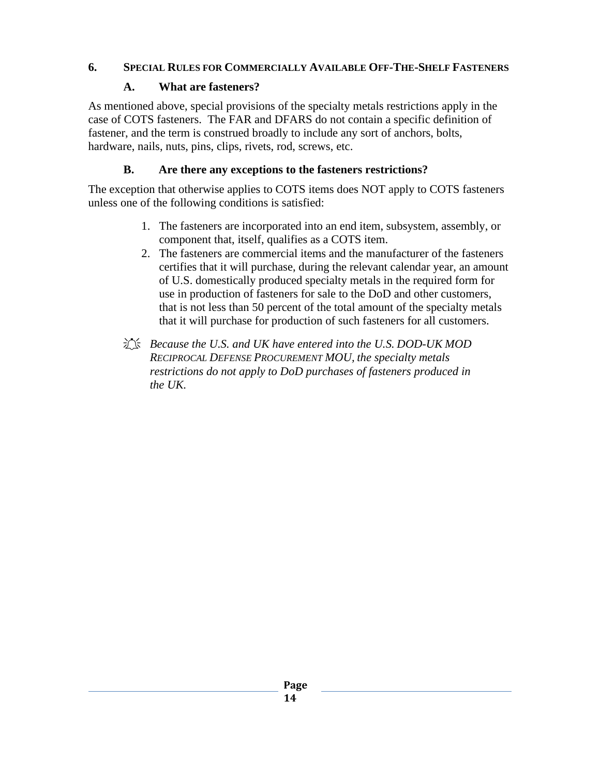### <span id="page-17-0"></span>**6. SPECIAL RULES FOR COMMERCIALLY AVAILABLE OFF-THE-SHELF FASTENERS**

### **A. What are fasteners?**

<span id="page-17-1"></span>As mentioned above, special provisions of the specialty metals restrictions apply in the case of COTS fasteners. The FAR and DFARS do not contain a specific definition of fastener, and the term is construed broadly to include any sort of anchors, bolts, hardware, nails, nuts, pins, clips, rivets, rod, screws, etc.

## **B. Are there any exceptions to the fasteners restrictions?**

<span id="page-17-2"></span>The exception that otherwise applies to COTS items does NOT apply to COTS fasteners unless one of the following conditions is satisfied:

- 1. The fasteners are incorporated into an end item, subsystem, assembly, or component that, itself, qualifies as a COTS item.
- 2. The fasteners are commercial items and the manufacturer of the fasteners certifies that it will purchase, during the relevant calendar year, an amount of U.S. domestically produced specialty metals in the required form for use in production of fasteners for sale to the DoD and other customers, that is not less than 50 percent of the total amount of the specialty metals that it will purchase for production of such fasteners for all customers.
- *Because the U.S. and UK have entered into the U.S. DOD-UK MOD RECIPROCAL DEFENSE PROCUREMENT MOU, the specialty metals restrictions do not apply to DoD purchases of fasteners produced in the UK.*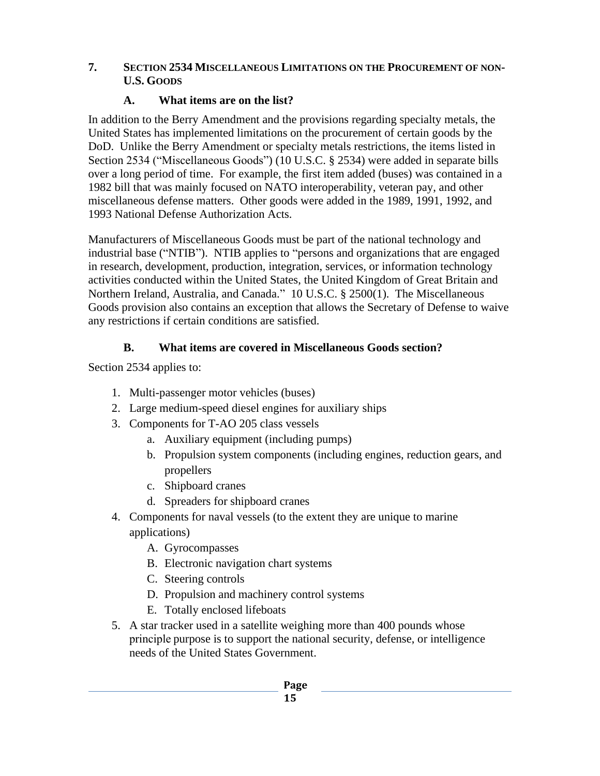#### <span id="page-18-0"></span>**7. SECTION 2534 MISCELLANEOUS LIMITATIONS ON THE PROCUREMENT OF NON-U.S. GOODS**

### **A. What items are on the list?**

<span id="page-18-1"></span>In addition to the Berry Amendment and the provisions regarding specialty metals, the United States has implemented limitations on the procurement of certain goods by the DoD. Unlike the Berry Amendment or specialty metals restrictions, the items listed in Section 2534 ("Miscellaneous Goods") (10 U.S.C. § 2534) were added in separate bills over a long period of time. For example, the first item added (buses) was contained in a 1982 bill that was mainly focused on NATO interoperability, veteran pay, and other miscellaneous defense matters. Other goods were added in the 1989, 1991, 1992, and 1993 National Defense Authorization Acts.

Manufacturers of Miscellaneous Goods must be part of the national technology and industrial base ("NTIB"). NTIB applies to "persons and organizations that are engaged in research, development, production, integration, services, or information technology activities conducted within the United States, the United Kingdom of Great Britain and Northern Ireland, Australia, and Canada." 10 U.S.C. § 2500(1). The Miscellaneous Goods provision also contains an exception that allows the Secretary of Defense to waive any restrictions if certain conditions are satisfied.

## **B. What items are covered in Miscellaneous Goods section?**

<span id="page-18-2"></span>Section 2534 applies to:

- 1. Multi-passenger motor vehicles (buses)
- 2. Large medium-speed diesel engines for auxiliary ships
- 3. Components for T-AO 205 class vessels
	- a. Auxiliary equipment (including pumps)
	- b. Propulsion system components (including engines, reduction gears, and propellers
	- c. Shipboard cranes
	- d. Spreaders for shipboard cranes
- 4. Components for naval vessels (to the extent they are unique to marine applications)
	- A. Gyrocompasses
	- B. Electronic navigation chart systems
	- C. Steering controls
	- D. Propulsion and machinery control systems
	- E. Totally enclosed lifeboats
- 5. A star tracker used in a satellite weighing more than 400 pounds whose principle purpose is to support the national security, defense, or intelligence needs of the United States Government.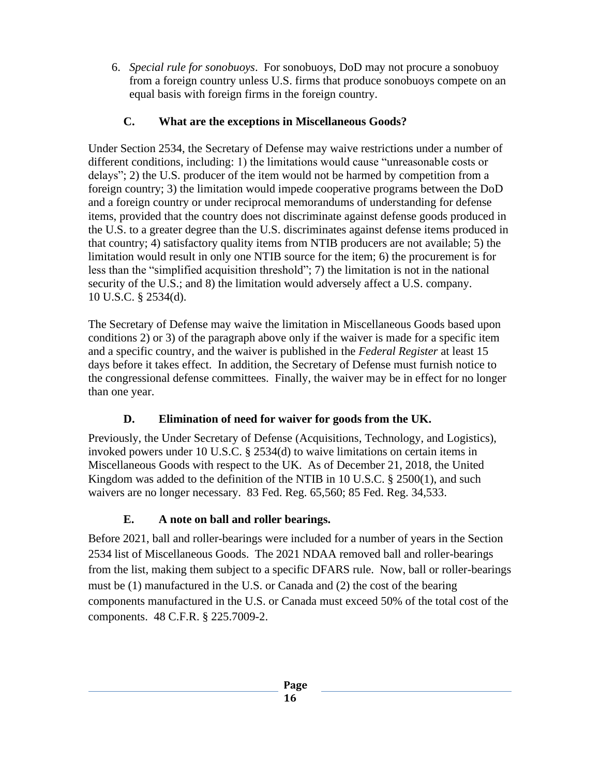6. *Special rule for sonobuoys*. For sonobuoys, DoD may not procure a sonobuoy from a foreign country unless U.S. firms that produce sonobuoys compete on an equal basis with foreign firms in the foreign country.

## **C. What are the exceptions in Miscellaneous Goods?**

<span id="page-19-0"></span>Under Section 2534, the Secretary of Defense may waive restrictions under a number of different conditions, including: 1) the limitations would cause "unreasonable costs or delays"; 2) the U.S. producer of the item would not be harmed by competition from a foreign country; 3) the limitation would impede cooperative programs between the DoD and a foreign country or under reciprocal memorandums of understanding for defense items, provided that the country does not discriminate against defense goods produced in the U.S. to a greater degree than the U.S. discriminates against defense items produced in that country; 4) satisfactory quality items from NTIB producers are not available; 5) the limitation would result in only one NTIB source for the item; 6) the procurement is for less than the "simplified acquisition threshold"; 7) the limitation is not in the national security of the U.S.; and 8) the limitation would adversely affect a U.S. company. 10 U.S.C. § 2534(d).

The Secretary of Defense may waive the limitation in Miscellaneous Goods based upon conditions 2) or 3) of the paragraph above only if the waiver is made for a specific item and a specific country, and the waiver is published in the *Federal Register* at least 15 days before it takes effect. In addition, the Secretary of Defense must furnish notice to the congressional defense committees. Finally, the waiver may be in effect for no longer than one year.

## **D. Elimination of need for waiver for goods from the UK.**

<span id="page-19-1"></span>Previously, the Under Secretary of Defense (Acquisitions, Technology, and Logistics), invoked powers under 10 U.S.C. § 2534(d) to waive limitations on certain items in Miscellaneous Goods with respect to the UK. As of December 21, 2018, the United Kingdom was added to the definition of the NTIB in 10 U.S.C.  $\S$  2500(1), and such waivers are no longer necessary. 83 Fed. Reg. 65,560; 85 Fed. Reg. 34,533.

## **E. A note on ball and roller bearings.**

<span id="page-19-2"></span>Before 2021, ball and roller-bearings were included for a number of years in the Section 2534 list of Miscellaneous Goods. The 2021 NDAA removed ball and roller-bearings from the list, making them subject to a specific DFARS rule. Now, ball or roller-bearings must be (1) manufactured in the U.S. or Canada and (2) the cost of the bearing components manufactured in the U.S. or Canada must exceed 50% of the total cost of the components. 48 C.F.R. § 225.7009-2.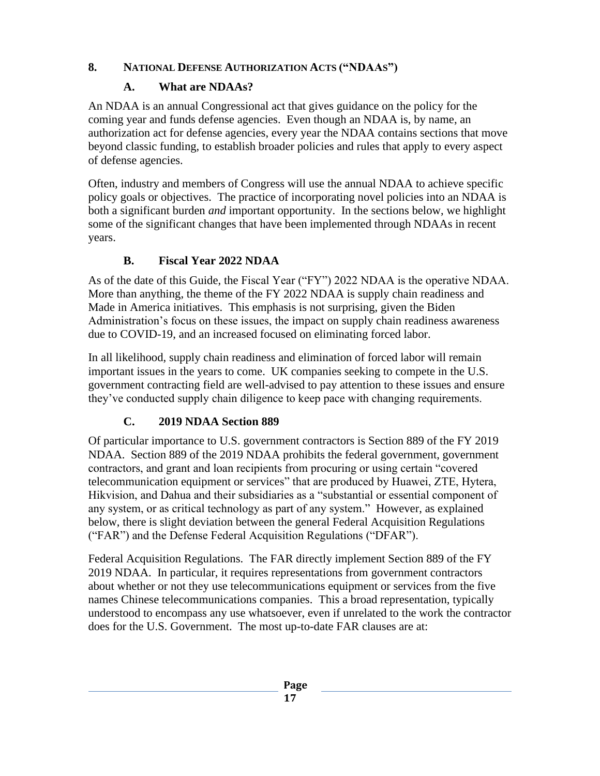## <span id="page-20-0"></span>**8. NATIONAL DEFENSE AUTHORIZATION ACTS ("NDAAS")**

### **A. What are NDAAs?**

<span id="page-20-1"></span>An NDAA is an annual Congressional act that gives guidance on the policy for the coming year and funds defense agencies. Even though an NDAA is, by name, an authorization act for defense agencies, every year the NDAA contains sections that move beyond classic funding, to establish broader policies and rules that apply to every aspect of defense agencies.

Often, industry and members of Congress will use the annual NDAA to achieve specific policy goals or objectives. The practice of incorporating novel policies into an NDAA is both a significant burden *and* important opportunity. In the sections below, we highlight some of the significant changes that have been implemented through NDAAs in recent years.

## **B. Fiscal Year 2022 NDAA**

<span id="page-20-2"></span>As of the date of this Guide, the Fiscal Year ("FY") 2022 NDAA is the operative NDAA. More than anything, the theme of the FY 2022 NDAA is supply chain readiness and Made in America initiatives. This emphasis is not surprising, given the Biden Administration's focus on these issues, the impact on supply chain readiness awareness due to COVID-19, and an increased focused on eliminating forced labor.

In all likelihood, supply chain readiness and elimination of forced labor will remain important issues in the years to come. UK companies seeking to compete in the U.S. government contracting field are well-advised to pay attention to these issues and ensure they've conducted supply chain diligence to keep pace with changing requirements.

# **C. 2019 NDAA Section 889**

<span id="page-20-3"></span>Of particular importance to U.S. government contractors is Section 889 of the FY 2019 NDAA. Section 889 of the 2019 NDAA prohibits the federal government, government contractors, and grant and loan recipients from procuring or using certain "covered telecommunication equipment or services" that are produced by Huawei, ZTE, Hytera, Hikvision, and Dahua and their subsidiaries as a "substantial or essential component of any system, or as critical technology as part of any system." However, as explained below, there is slight deviation between the general Federal Acquisition Regulations ("FAR") and the Defense Federal Acquisition Regulations ("DFAR").

Federal Acquisition Regulations. The FAR directly implement Section 889 of the FY 2019 NDAA. In particular, it requires representations from government contractors about whether or not they use telecommunications equipment or services from the five names Chinese telecommunications companies. This a broad representation, typically understood to encompass any use whatsoever, even if unrelated to the work the contractor does for the U.S. Government. The most up-to-date FAR clauses are at: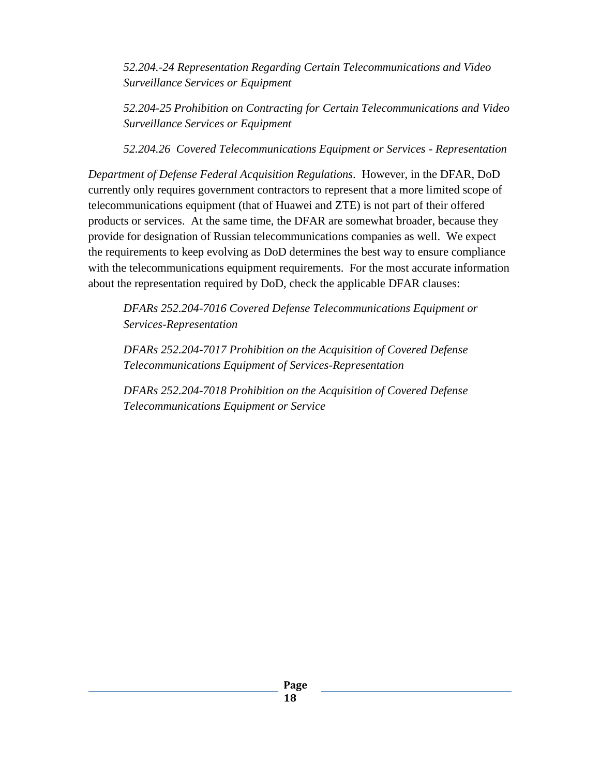*52.204.-24 Representation Regarding Certain Telecommunications and Video Surveillance Services or Equipment*

*52.204-25 Prohibition on Contracting for Certain Telecommunications and Video Surveillance Services or Equipment*

*52.204.26 Covered Telecommunications Equipment or Services - Representation*

*Department of Defense Federal Acquisition Regulations.* However, in the DFAR, DoD currently only requires government contractors to represent that a more limited scope of telecommunications equipment (that of Huawei and ZTE) is not part of their offered products or services. At the same time, the DFAR are somewhat broader, because they provide for designation of Russian telecommunications companies as well. We expect the requirements to keep evolving as DoD determines the best way to ensure compliance with the telecommunications equipment requirements. For the most accurate information about the representation required by DoD, check the applicable DFAR clauses:

*DFARs 252.204-7016 Covered Defense Telecommunications Equipment or Services-Representation*

*DFARs 252.204-7017 Prohibition on the Acquisition of Covered Defense Telecommunications Equipment of Services-Representation*

*DFARs 252.204-7018 Prohibition on the Acquisition of Covered Defense Telecommunications Equipment or Service*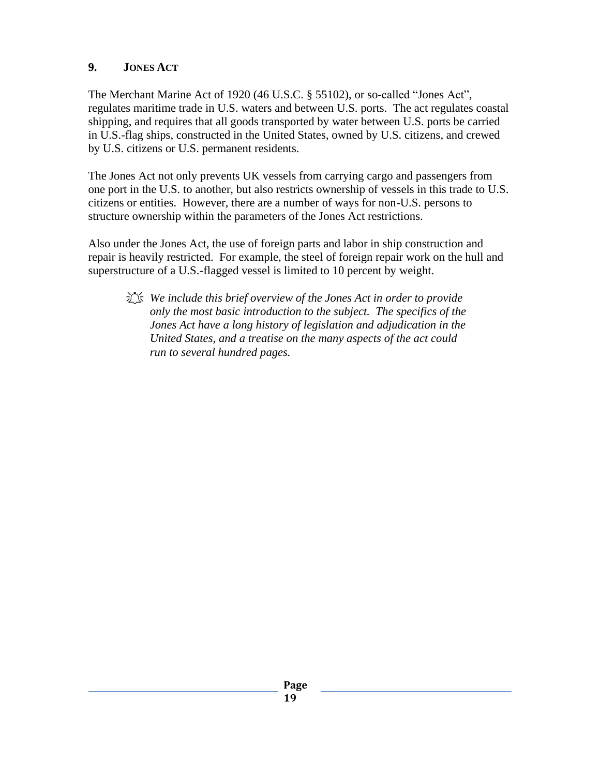### <span id="page-22-0"></span>**9. JONES ACT**

The Merchant Marine Act of 1920 (46 U.S.C. § 55102), or so-called "Jones Act", regulates maritime trade in U.S. waters and between U.S. ports. The act regulates coastal shipping, and requires that all goods transported by water between U.S. ports be carried in U.S.-flag ships, constructed in the United States, owned by U.S. citizens, and crewed by U.S. citizens or U.S. permanent residents.

The Jones Act not only prevents UK vessels from carrying cargo and passengers from one port in the U.S. to another, but also restricts ownership of vessels in this trade to U.S. citizens or entities. However, there are a number of ways for non-U.S. persons to structure ownership within the parameters of the Jones Act restrictions.

Also under the Jones Act, the use of foreign parts and labor in ship construction and repair is heavily restricted. For example, the steel of foreign repair work on the hull and superstructure of a U.S.-flagged vessel is limited to 10 percent by weight.

 *We include this brief overview of the Jones Act in order to provide only the most basic introduction to the subject. The specifics of the Jones Act have a long history of legislation and adjudication in the United States, and a treatise on the many aspects of the act could run to several hundred pages.*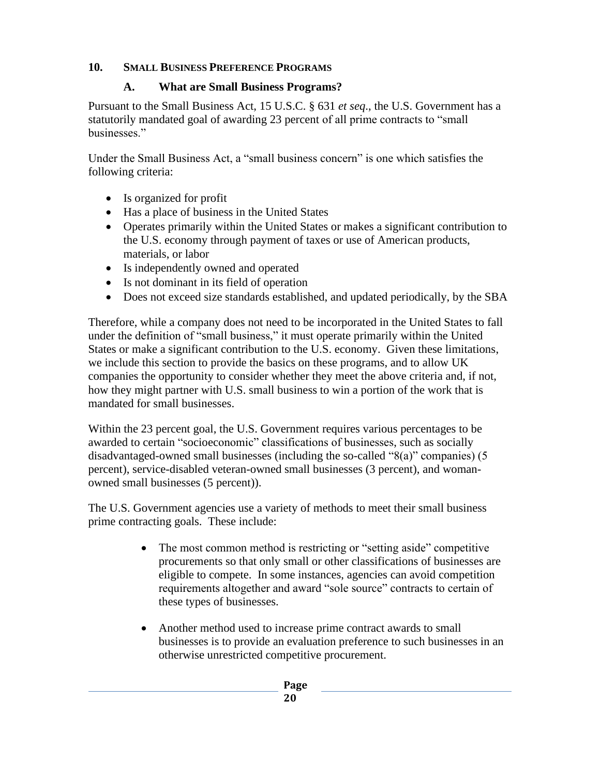## <span id="page-23-1"></span><span id="page-23-0"></span>**10. SMALL BUSINESS PREFERENCE PROGRAMS**

#### **A. What are Small Business Programs?**

Pursuant to the Small Business Act, 15 U.S.C. § 631 *et seq*., the U.S. Government has a statutorily mandated goal of awarding 23 percent of all prime contracts to "small businesses."

Under the Small Business Act, a "small business concern" is one which satisfies the following criteria:

- Is organized for profit
- Has a place of business in the United States
- Operates primarily within the United States or makes a significant contribution to the U.S. economy through payment of taxes or use of American products, materials, or labor
- Is independently owned and operated
- Is not dominant in its field of operation
- Does not exceed size standards established, and updated periodically, by the SBA

Therefore, while a company does not need to be incorporated in the United States to fall under the definition of "small business," it must operate primarily within the United States or make a significant contribution to the U.S. economy. Given these limitations, we include this section to provide the basics on these programs, and to allow UK companies the opportunity to consider whether they meet the above criteria and, if not, how they might partner with U.S. small business to win a portion of the work that is mandated for small businesses.

Within the 23 percent goal, the U.S. Government requires various percentages to be awarded to certain "socioeconomic" classifications of businesses, such as socially disadvantaged-owned small businesses (including the so-called "8(a)" companies) (5 percent), service-disabled veteran-owned small businesses (3 percent), and womanowned small businesses (5 percent)).

The U.S. Government agencies use a variety of methods to meet their small business prime contracting goals. These include:

- The most common method is restricting or "setting aside" competitive procurements so that only small or other classifications of businesses are eligible to compete. In some instances, agencies can avoid competition requirements altogether and award "sole source" contracts to certain of these types of businesses.
- Another method used to increase prime contract awards to small businesses is to provide an evaluation preference to such businesses in an otherwise unrestricted competitive procurement.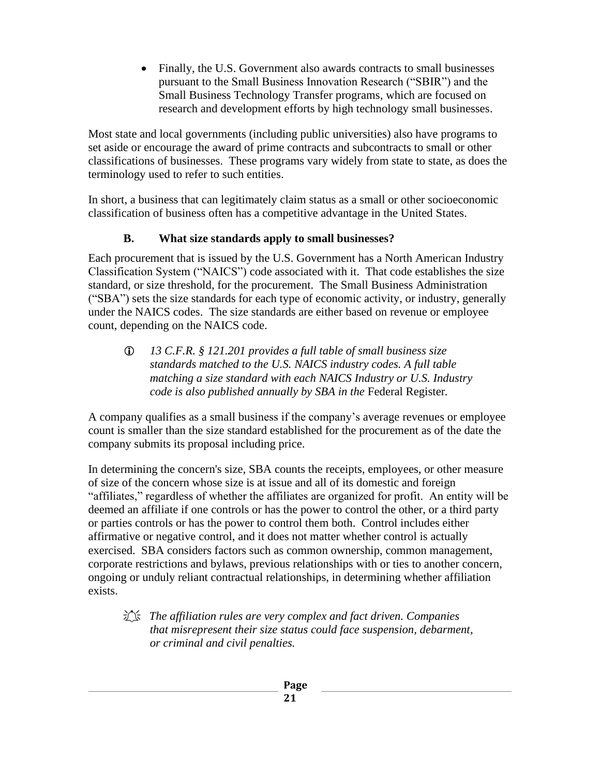• Finally, the U.S. Government also awards contracts to small businesses pursuant to the Small Business Innovation Research ("SBIR") and the Small Business Technology Transfer programs, which are focused on research and development efforts by high technology small businesses.

Most state and local governments (including public universities) also have programs to set aside or encourage the award of prime contracts and subcontracts to small or other classifications of businesses. These programs vary widely from state to state, as does the terminology used to refer to such entities.

In short, a business that can legitimately claim status as a small or other socioeconomic classification of business often has a competitive advantage in the United States.

#### **B. What size standards apply to small businesses?**

<span id="page-24-0"></span>Each procurement that is issued by the U.S. Government has a North American Industry Classification System ("NAICS") code associated with it. That code establishes the size standard, or size threshold, for the procurement. The Small Business Administration ("SBA") sets the size standards for each type of economic activity, or industry, generally under the NAICS codes. The size standards are either based on revenue or employee count, depending on the NAICS code.

 *13 C.F.R. § 121.201 provides a full table of small business size standards matched to the U.S. NAICS industry codes. A full table matching a size standard with each NAICS Industry or U.S. Industry code is also published annually by SBA in the* Federal Register*.*

A company qualifies as a small business if the company's average revenues or employee count is smaller than the size standard established for the procurement as of the date the company submits its proposal including price.

In determining the concern's size, SBA counts the receipts, employees, or other measure of size of the concern whose size is at issue and all of its domestic and foreign "affiliates," regardless of whether the affiliates are organized for profit. An entity will be deemed an affiliate if one controls or has the power to control the other, or a third party or parties controls or has the power to control them both. Control includes either affirmative or negative control, and it does not matter whether control is actually exercised. SBA considers factors such as common ownership, common management, corporate restrictions and bylaws, previous relationships with or ties to another concern, ongoing or unduly reliant contractual relationships, in determining whether affiliation exists.

#### *The affiliation rules are very complex and fact driven. Companies that misrepresent their size status could face suspension, debarment, or criminal and civil penalties.*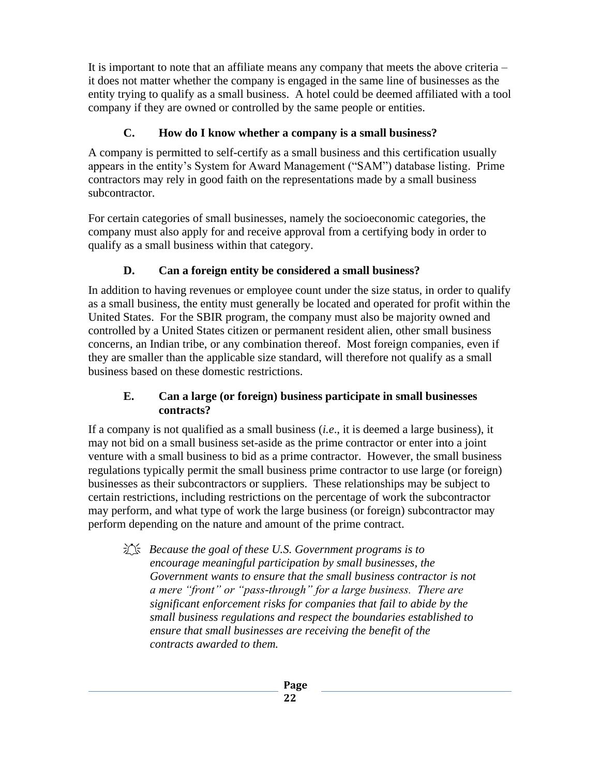It is important to note that an affiliate means any company that meets the above criteria – it does not matter whether the company is engaged in the same line of businesses as the entity trying to qualify as a small business. A hotel could be deemed affiliated with a tool company if they are owned or controlled by the same people or entities.

## **C. How do I know whether a company is a small business?**

<span id="page-25-0"></span>A company is permitted to self-certify as a small business and this certification usually appears in the entity's System for Award Management ("SAM") database listing. Prime contractors may rely in good faith on the representations made by a small business subcontractor.

For certain categories of small businesses, namely the socioeconomic categories, the company must also apply for and receive approval from a certifying body in order to qualify as a small business within that category.

## **D. Can a foreign entity be considered a small business?**

<span id="page-25-1"></span>In addition to having revenues or employee count under the size status, in order to qualify as a small business, the entity must generally be located and operated for profit within the United States. For the SBIR program, the company must also be majority owned and controlled by a United States citizen or permanent resident alien, other small business concerns, an Indian tribe, or any combination thereof. Most foreign companies, even if they are smaller than the applicable size standard, will therefore not qualify as a small business based on these domestic restrictions.

#### **E. Can a large (or foreign) business participate in small businesses contracts?**

<span id="page-25-2"></span>If a company is not qualified as a small business (*i.e*., it is deemed a large business), it may not bid on a small business set-aside as the prime contractor or enter into a joint venture with a small business to bid as a prime contractor. However, the small business regulations typically permit the small business prime contractor to use large (or foreign) businesses as their subcontractors or suppliers. These relationships may be subject to certain restrictions, including restrictions on the percentage of work the subcontractor may perform, and what type of work the large business (or foreign) subcontractor may perform depending on the nature and amount of the prime contract.

 *Because the goal of these U.S. Government programs is to encourage meaningful participation by small businesses, the Government wants to ensure that the small business contractor is not a mere "front" or "pass-through" for a large business. There are significant enforcement risks for companies that fail to abide by the small business regulations and respect the boundaries established to ensure that small businesses are receiving the benefit of the contracts awarded to them.*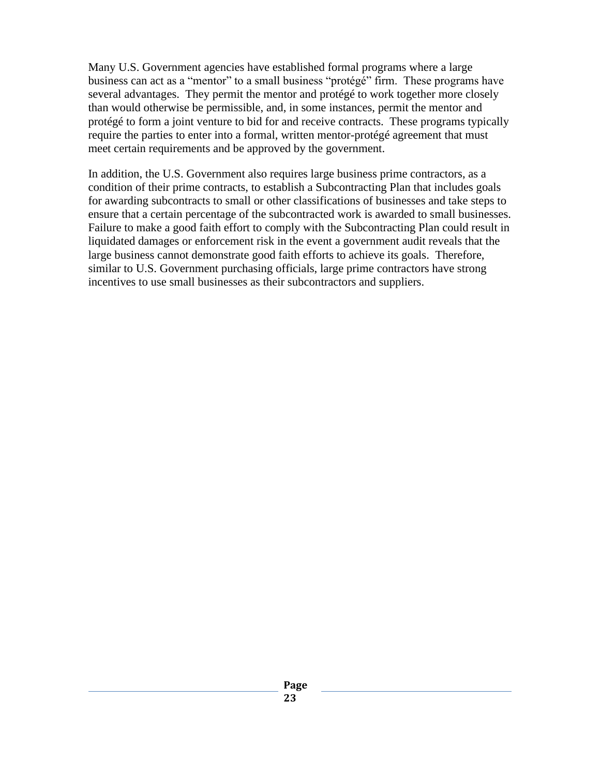Many U.S. Government agencies have established formal programs where a large business can act as a "mentor" to a small business "protégé" firm. These programs have several advantages. They permit the mentor and protégé to work together more closely than would otherwise be permissible, and, in some instances, permit the mentor and protégé to form a joint venture to bid for and receive contracts. These programs typically require the parties to enter into a formal, written mentor-protégé agreement that must meet certain requirements and be approved by the government.

In addition, the U.S. Government also requires large business prime contractors, as a condition of their prime contracts, to establish a Subcontracting Plan that includes goals for awarding subcontracts to small or other classifications of businesses and take steps to ensure that a certain percentage of the subcontracted work is awarded to small businesses. Failure to make a good faith effort to comply with the Subcontracting Plan could result in liquidated damages or enforcement risk in the event a government audit reveals that the large business cannot demonstrate good faith efforts to achieve its goals. Therefore, similar to U.S. Government purchasing officials, large prime contractors have strong incentives to use small businesses as their subcontractors and suppliers.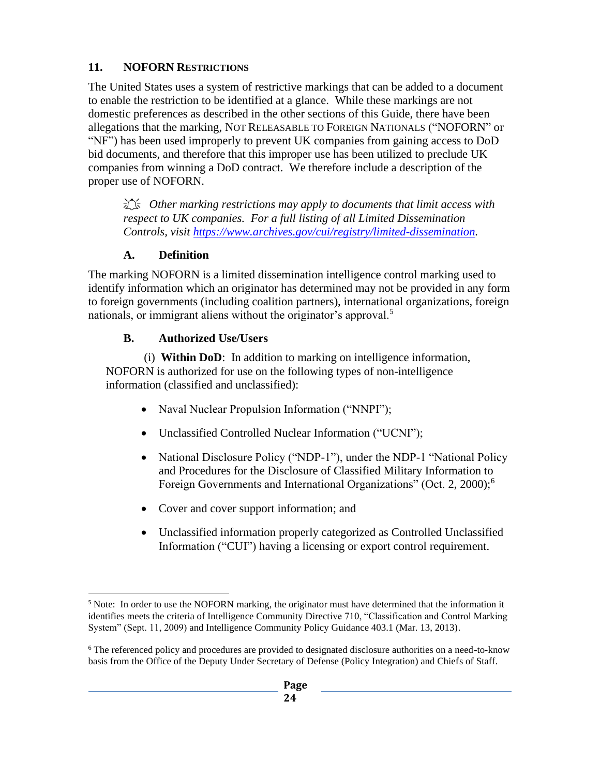## <span id="page-27-0"></span>**11. NOFORN RESTRICTIONS**

The United States uses a system of restrictive markings that can be added to a document to enable the restriction to be identified at a glance. While these markings are not domestic preferences as described in the other sections of this Guide, there have been allegations that the marking, NOT RELEASABLE TO FOREIGN NATIONALS ("NOFORN" or "NF") has been used improperly to prevent UK companies from gaining access to DoD bid documents, and therefore that this improper use has been utilized to preclude UK companies from winning a DoD contract. We therefore include a description of the proper use of NOFORN.

 *Other marking restrictions may apply to documents that limit access with respect to UK companies. For a full listing of all Limited Dissemination Controls, visit [https://www.archives.gov/cui/registry/limited-dissemination.](https://www.archives.gov/cui/registry/limited-dissemination)* 

# **A. Definition**

<span id="page-27-1"></span>The marking NOFORN is a limited dissemination intelligence control marking used to identify information which an originator has determined may not be provided in any form to foreign governments (including coalition partners), international organizations, foreign nationals, or immigrant aliens without the originator's approval.<sup>5</sup>

# **B. Authorized Use/Users**

<span id="page-27-2"></span>(i) **Within DoD**: In addition to marking on intelligence information, NOFORN is authorized for use on the following types of non-intelligence information (classified and unclassified):

- Naval Nuclear Propulsion Information ("NNPI");
- Unclassified Controlled Nuclear Information ("UCNI");
- National Disclosure Policy ("NDP-1"), under the NDP-1 "National Policy and Procedures for the Disclosure of Classified Military Information to Foreign Governments and International Organizations" (Oct. 2, 2000);<sup>6</sup>
- Cover and cover support information; and
- Unclassified information properly categorized as Controlled Unclassified Information ("CUI") having a licensing or export control requirement.

<sup>&</sup>lt;sup>5</sup> Note: In order to use the NOFORN marking, the originator must have determined that the information it identifies meets the criteria of Intelligence Community Directive 710, "Classification and Control Marking System" (Sept. 11, 2009) and Intelligence Community Policy Guidance 403.1 (Mar. 13, 2013).

<sup>6</sup> The referenced policy and procedures are provided to designated disclosure authorities on a need-to-know basis from the Office of the Deputy Under Secretary of Defense (Policy Integration) and Chiefs of Staff.